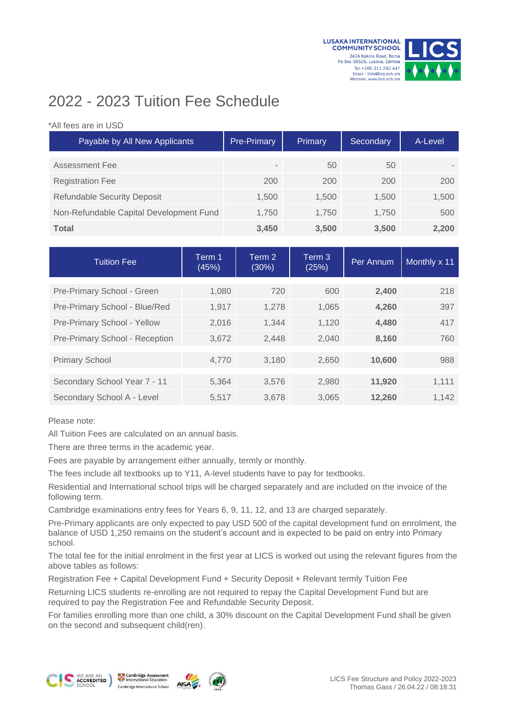



## 2022 - 2023 Tuition Fee Schedule

## \*All fees are in USD

| Payable by All New Applicants           | Pre-Primary              | Primary | Secondary | A-Level |  |
|-----------------------------------------|--------------------------|---------|-----------|---------|--|
| Assessment Fee                          | $\overline{\phantom{a}}$ | 50      | 50        |         |  |
| <b>Registration Fee</b>                 | 200                      | 200     | 200       | 200     |  |
| <b>Refundable Security Deposit</b>      | 1,500                    | 1.500   | 1.500     | 1,500   |  |
| Non-Refundable Capital Development Fund | 1.750                    | 1.750   | 1.750     | 500     |  |
| <b>Total</b>                            | 3,450                    | 3,500   | 3,500     | 2,200   |  |

| <b>Tuition Fee</b>             | Term 1<br>(45%) | Term 2<br>(30%) | Term 3<br>(25%) | Per Annum | Monthly x 11 |  |
|--------------------------------|-----------------|-----------------|-----------------|-----------|--------------|--|
| Pre-Primary School - Green     | 1,080           | 720             | 600             | 2,400     | 218          |  |
| Pre-Primary School - Blue/Red  | 1,917           | 1.278           | 1.065           | 4.260     | 397          |  |
| Pre-Primary School - Yellow    | 2,016           | 1,344           | 1,120           | 4,480     | 417          |  |
| Pre-Primary School - Reception | 3,672           | 2,448           | 2,040           | 8,160     | 760          |  |
| <b>Primary School</b>          | 4.770           | 3.180           | 2,650           | 10,600    | 988          |  |
| Secondary School Year 7 - 11   | 5.364           | 3.576           | 2,980           | 11,920    | 1,111        |  |
| Secondary School A - Level     | 5,517           | 3,678           | 3,065           | 12,260    | 1,142        |  |

Please note:

All Tuition Fees are calculated on an annual basis.

There are three terms in the academic year.

Fees are payable by arrangement either annually, termly or monthly.

The fees include all textbooks up to Y11, A-level students have to pay for textbooks.

Residential and International school trips will be charged separately and are included on the invoice of the following term.

Cambridge examinations entry fees for Years 6, 9, 11, 12, and 13 are charged separately.

Pre-Primary applicants are only expected to pay USD 500 of the capital development fund on enrolment, the balance of USD 1,250 remains on the student's account and is expected to be paid on entry into Primary school.

The total fee for the initial enrolment in the first year at LICS is worked out using the relevant figures from the above tables as follows:

Registration Fee + Capital Development Fund + Security Deposit + Relevant termly Tuition Fee

Returning LICS students re-enrolling are not required to repay the Capital Development Fund but are required to pay the Registration Fee and Refundable Security Deposit.

For families enrolling more than one child, a 30% discount on the Capital Development Fund shall be given on the second and subsequent child(ren).